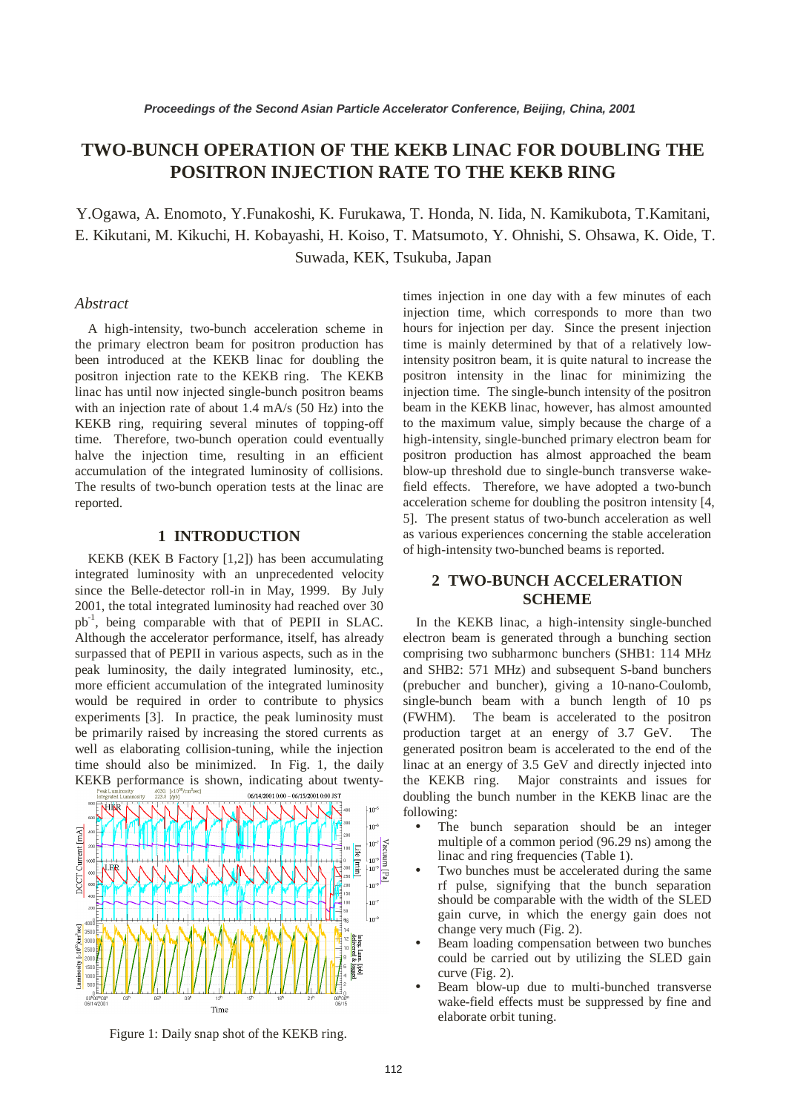# **TWO-BUNCH OPERATION OF THE KEKB LINAC FOR DOUBLING THE POSITRON INJECTION RATE TO THE KEKB RING**

Y.Ogawa, A. Enomoto, Y.Funakoshi, K. Furukawa, T. Honda, N. Iida, N. Kamikubota, T.Kamitani, E. Kikutani, M. Kikuchi, H. Kobayashi, H. Koiso, T. Matsumoto, Y. Ohnishi, S. Ohsawa, K. Oide, T. Suwada, KEK, Tsukuba, Japan

#### *Abstract*

A high-intensity, two-bunch acceleration scheme in the primary electron beam for positron production has been introduced at the KEKB linac for doubling the positron injection rate to the KEKB ring. The KEKB linac has until now injected single-bunch positron beams with an injection rate of about 1.4 mA/s (50 Hz) into the KEKB ring, requiring several minutes of topping-off time. Therefore, two-bunch operation could eventually halve the injection time, resulting in an efficient accumulation of the integrated luminosity of collisions. The results of two-bunch operation tests at the linac are reported.

#### **1 INTRODUCTION**

KEKB (KEK B Factory [1,2]) has been accumulating integrated luminosity with an unprecedented velocity since the Belle-detector roll-in in May, 1999. By July 2001, the total integrated luminosity had reached over 30 pb-1, being comparable with that of PEPII in SLAC. Although the accelerator performance, itself, has already surpassed that of PEPII in various aspects, such as in the peak luminosity, the daily integrated luminosity, etc., more efficient accumulation of the integrated luminosity would be required in order to contribute to physics experiments [3]. In practice, the peak luminosity must be primarily raised by increasing the stored currents as well as elaborating collision-tuning, while the injection time should also be minimized. In Fig. 1, the daily KEKB performance is shown, indicating about twenty-



Figure 1: Daily snap shot of the KEKB ring.

times injection in one day with a few minutes of each injection time, which corresponds to more than two hours for injection per day. Since the present injection time is mainly determined by that of a relatively lowintensity positron beam, it is quite natural to increase the positron intensity in the linac for minimizing the injection time. The single-bunch intensity of the positron beam in the KEKB linac, however, has almost amounted to the maximum value, simply because the charge of a high-intensity, single-bunched primary electron beam for positron production has almost approached the beam blow-up threshold due to single-bunch transverse wakefield effects. Therefore, we have adopted a two-bunch acceleration scheme for doubling the positron intensity [4, 5]. The present status of two-bunch acceleration as well as various experiences concerning the stable acceleration of high-intensity two-bunched beams is reported.

### **2 TWO-BUNCH ACCELERATION SCHEME**

In the KEKB linac, a high-intensity single-bunched electron beam is generated through a bunching section comprising two subharmonc bunchers (SHB1: 114 MHz and SHB2: 571 MHz) and subsequent S-band bunchers (prebucher and buncher), giving a 10-nano-Coulomb, single-bunch beam with a bunch length of 10 ps (FWHM). The beam is accelerated to the positron production target at an energy of 3.7 GeV. The generated positron beam is accelerated to the end of the linac at an energy of 3.5 GeV and directly injected into the KEKB ring. Major constraints and issues for doubling the bunch number in the KEKB linac are the following:

- The bunch separation should be an integer multiple of a common period (96.29 ns) among the linac and ring frequencies (Table 1).
- Two bunches must be accelerated during the same rf pulse, signifying that the bunch separation should be comparable with the width of the SLED gain curve, in which the energy gain does not change very much (Fig. 2).
- Beam loading compensation between two bunches could be carried out by utilizing the SLED gain curve (Fig. 2).
- Beam blow-up due to multi-bunched transverse wake-field effects must be suppressed by fine and elaborate orbit tuning.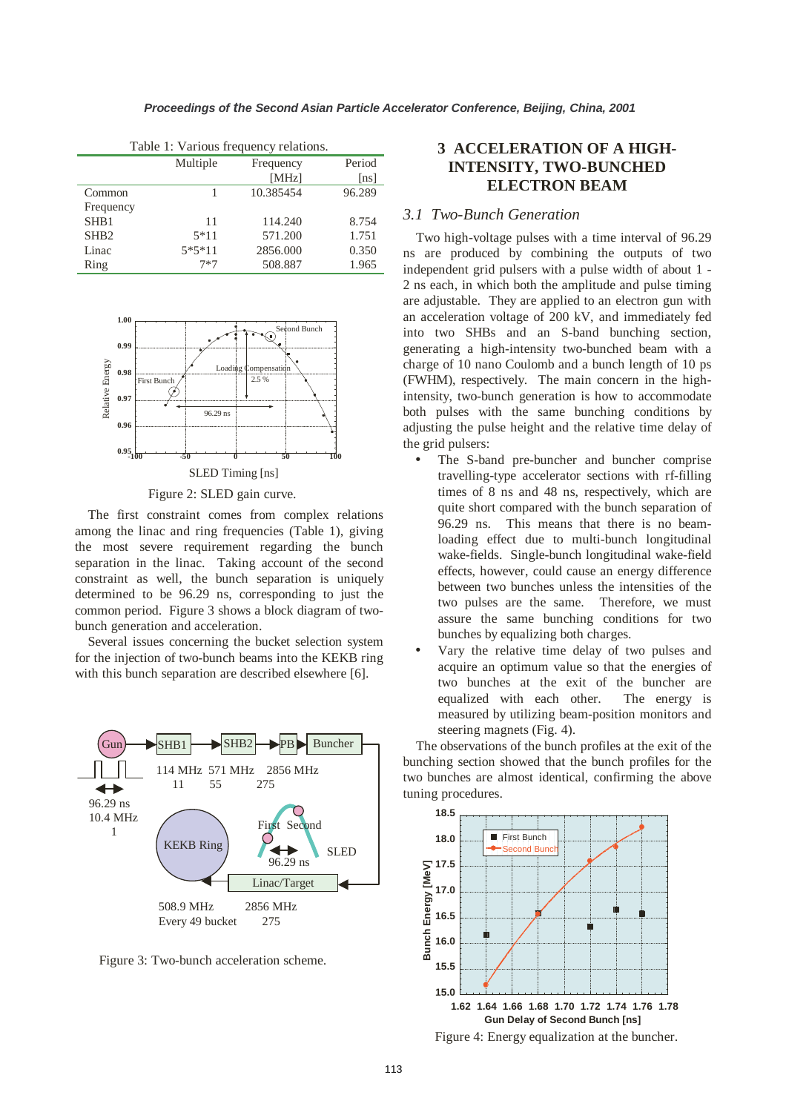|                  | Multiple | Frequency | Period |
|------------------|----------|-----------|--------|
|                  |          | [MHz]     | [ns]   |
| Common           |          | 10.385454 | 96.289 |
| Frequency        |          |           |        |
| SH <sub>B1</sub> | 11       | 114.240   | 8.754  |
| SH <sub>B2</sub> | $5*11$   | 571.200   | 1.751  |
| Linac            | $5*5*11$ | 2856.000  | 0.350  |
| Ring             | $7*7$    | 508.887   | 1.965  |

Table 1: Various frequency relations.



Figure 2: SLED gain curve.

The first constraint comes from complex relations among the linac and ring frequencies (Table 1), giving the most severe requirement regarding the bunch separation in the linac. Taking account of the second constraint as well, the bunch separation is uniquely determined to be 96.29 ns, corresponding to just the common period. Figure 3 shows a block diagram of twobunch generation and acceleration.

Several issues concerning the bucket selection system for the injection of two-bunch beams into the KEKB ring with this bunch separation are described elsewhere [6].



Figure 3: Two-bunch acceleration scheme.

## **3 ACCELERATION OF A HIGH-INTENSITY, TWO-BUNCHED ELECTRON BEAM**

### *3.1 Two-Bunch Generation*

Two high-voltage pulses with a time interval of 96.29 ns are produced by combining the outputs of two independent grid pulsers with a pulse width of about 1 - 2 ns each, in which both the amplitude and pulse timing are adjustable. They are applied to an electron gun with an acceleration voltage of 200 kV, and immediately fed into two SHBs and an S-band bunching section, generating a high-intensity two-bunched beam with a charge of 10 nano Coulomb and a bunch length of 10 ps (FWHM), respectively. The main concern in the highintensity, two-bunch generation is how to accommodate both pulses with the same bunching conditions by adjusting the pulse height and the relative time delay of the grid pulsers:

- The S-band pre-buncher and buncher comprise travelling-type accelerator sections with rf-filling times of 8 ns and 48 ns, respectively, which are quite short compared with the bunch separation of 96.29 ns. This means that there is no beamloading effect due to multi-bunch longitudinal wake-fields. Single-bunch longitudinal wake-field effects, however, could cause an energy difference between two bunches unless the intensities of the two pulses are the same. Therefore, we must assure the same bunching conditions for two bunches by equalizing both charges.
- Vary the relative time delay of two pulses and acquire an optimum value so that the energies of two bunches at the exit of the buncher are equalized with each other. The energy is measured by utilizing beam-position monitors and steering magnets (Fig. 4).

The observations of the bunch profiles at the exit of the bunching section showed that the bunch profiles for the two bunches are almost identical, confirming the above tuning procedures.